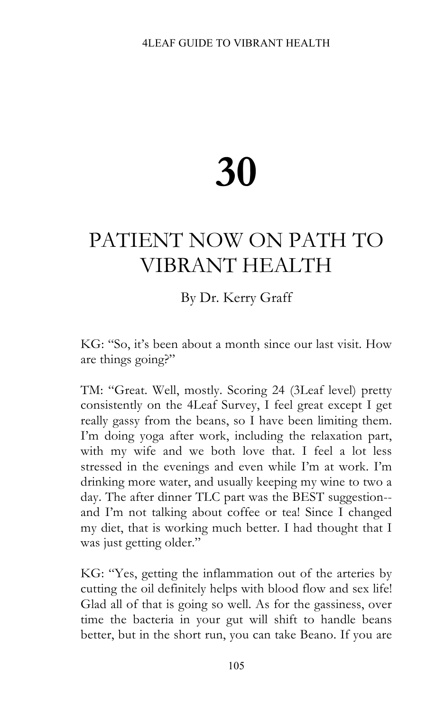# **30**

## PATIENT NOW ON PATH TO VIBRANT HEALTH

### By Dr. Kerry Graff

KG: "So, it's been about a month since our last visit. How are things going?"

TM: "Great. Well, mostly. Scoring 24 (3Leaf level) pretty consistently on the 4Leaf Survey, I feel great except I get really gassy from the beans, so I have been limiting them. I'm doing yoga after work, including the relaxation part, with my wife and we both love that. I feel a lot less stressed in the evenings and even while I'm at work. I'm drinking more water, and usually keeping my wine to two a day. The after dinner TLC part was the BEST suggestion- and I'm not talking about coffee or tea! Since I changed my diet, that is working much better. I had thought that I was just getting older."

KG: "Yes, getting the inflammation out of the arteries by cutting the oil definitely helps with blood flow and sex life! Glad all of that is going so well. As for the gassiness, over time the bacteria in your gut will shift to handle beans better, but in the short run, you can take Beano. If you are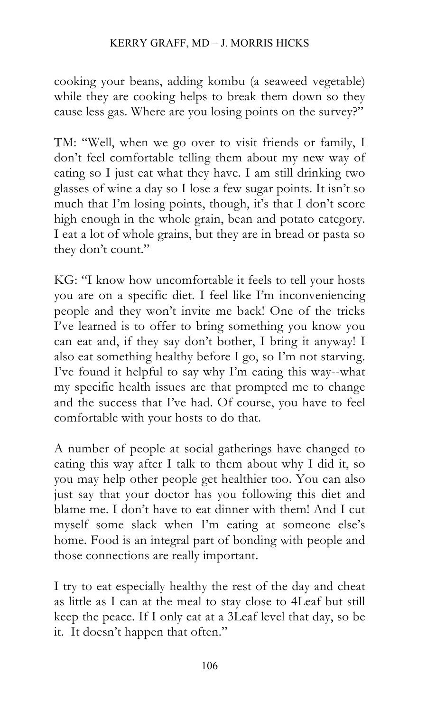cooking your beans, adding kombu (a seaweed vegetable) while they are cooking helps to break them down so they cause less gas. Where are you losing points on the survey?"

TM: "Well, when we go over to visit friends or family, I don't feel comfortable telling them about my new way of eating so I just eat what they have. I am still drinking two glasses of wine a day so I lose a few sugar points. It isn't so much that I'm losing points, though, it's that I don't score high enough in the whole grain, bean and potato category. I eat a lot of whole grains, but they are in bread or pasta so they don't count."

KG: "I know how uncomfortable it feels to tell your hosts you are on a specific diet. I feel like I'm inconveniencing people and they won't invite me back! One of the tricks I've learned is to offer to bring something you know you can eat and, if they say don't bother, I bring it anyway! I also eat something healthy before I go, so I'm not starving. I've found it helpful to say why I'm eating this way--what my specific health issues are that prompted me to change and the success that I've had. Of course, you have to feel comfortable with your hosts to do that.

A number of people at social gatherings have changed to eating this way after I talk to them about why I did it, so you may help other people get healthier too. You can also just say that your doctor has you following this diet and blame me. I don't have to eat dinner with them! And I cut myself some slack when I'm eating at someone else's home. Food is an integral part of bonding with people and those connections are really important.

I try to eat especially healthy the rest of the day and cheat as little as I can at the meal to stay close to 4Leaf but still keep the peace. If I only eat at a 3Leaf level that day, so be it. It doesn't happen that often."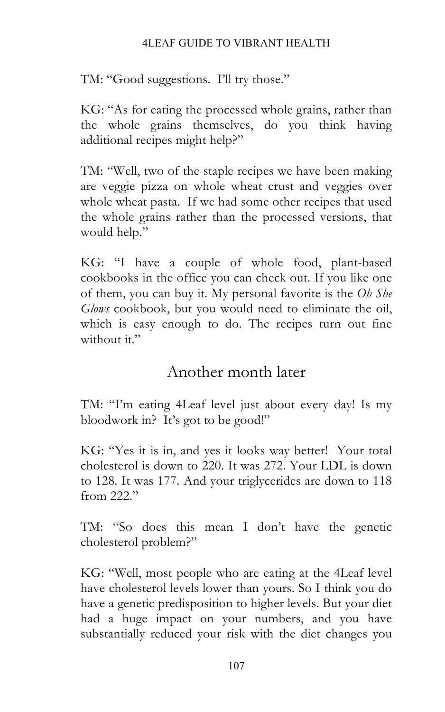#### 4LEAF GUIDE TO VIBRANT HEALTH

TM: "Good suggestions. I'll try those."

KG: "As for eating the processed whole grains, rather than the whole grains themselves, do you think having additional recipes might help?"

TM: "Well, two of the staple recipes we have been making are veggie pizza on whole wheat crust and veggies over whole wheat pasta. If we had some other recipes that used the whole grains rather than the processed versions, that would help."

KG: "I have a couple of whole food, plant-based cookbooks in the office you can check out. If you like one of them, you can buy it. My personal favorite is the *Oh She Glows* cookbook, but you would need to eliminate the oil, which is easy enough to do. The recipes turn out fine without it."

### Another month later

TM: "I'm eating 4Leaf level just about every day! Is my bloodwork in? It's got to be good!"

KG: "Yes it is in, and yes it looks way better! Your total cholesterol is down to 220. It was 272. Your LDL is down to 128. It was 177. And your triglycerides are down to 118 from 222."

TM: "So does this mean I don't have the genetic cholesterol problem?"

KG: "Well, most people who are eating at the 4Leaf level have cholesterol levels lower than yours. So I think you do have a genetic predisposition to higher levels. But your diet had a huge impact on your numbers, and you have substantially reduced your risk with the diet changes you